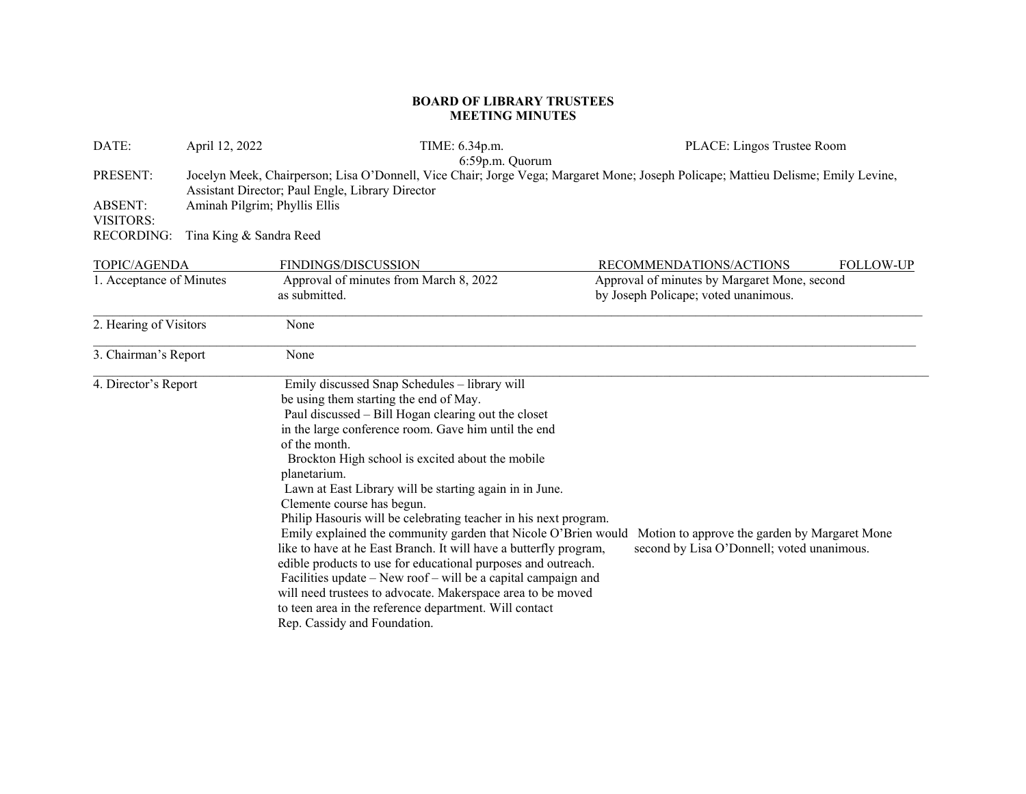## **BOARD OF LIBRARY TRUSTEES MEETING MINUTES**

| DATE:                       | April 12, 2022                                                                                                                                                                        | TIME: 6.34p.m.<br>6:59p.m. Quorum                                                                                                                                                                                                                                                                                                                                                                                                                                                                                                                                                                                                                                                                                                                                                                                                                                                          | PLACE: Lingos Trustee Room                                                                  |  |  |
|-----------------------------|---------------------------------------------------------------------------------------------------------------------------------------------------------------------------------------|--------------------------------------------------------------------------------------------------------------------------------------------------------------------------------------------------------------------------------------------------------------------------------------------------------------------------------------------------------------------------------------------------------------------------------------------------------------------------------------------------------------------------------------------------------------------------------------------------------------------------------------------------------------------------------------------------------------------------------------------------------------------------------------------------------------------------------------------------------------------------------------------|---------------------------------------------------------------------------------------------|--|--|
| PRESENT:                    | Jocelyn Meek, Chairperson; Lisa O'Donnell, Vice Chair; Jorge Vega; Margaret Mone; Joseph Policape; Mattieu Delisme; Emily Levine,<br>Assistant Director; Paul Engle, Library Director |                                                                                                                                                                                                                                                                                                                                                                                                                                                                                                                                                                                                                                                                                                                                                                                                                                                                                            |                                                                                             |  |  |
| <b>ABSENT:</b><br>VISITORS: | Aminah Pilgrim; Phyllis Ellis                                                                                                                                                         |                                                                                                                                                                                                                                                                                                                                                                                                                                                                                                                                                                                                                                                                                                                                                                                                                                                                                            |                                                                                             |  |  |
| RECORDING:                  | Tina King & Sandra Reed                                                                                                                                                               |                                                                                                                                                                                                                                                                                                                                                                                                                                                                                                                                                                                                                                                                                                                                                                                                                                                                                            |                                                                                             |  |  |
| <b>TOPIC/AGENDA</b>         |                                                                                                                                                                                       | FINDINGS/DISCUSSION                                                                                                                                                                                                                                                                                                                                                                                                                                                                                                                                                                                                                                                                                                                                                                                                                                                                        | RECOMMENDATIONS/ACTIONS<br><b>FOLLOW-UP</b>                                                 |  |  |
| 1. Acceptance of Minutes    |                                                                                                                                                                                       | Approval of minutes from March 8, 2022<br>as submitted.                                                                                                                                                                                                                                                                                                                                                                                                                                                                                                                                                                                                                                                                                                                                                                                                                                    | Approval of minutes by Margaret Mone, second<br>by Joseph Policape; voted unanimous.        |  |  |
| 2. Hearing of Visitors      |                                                                                                                                                                                       | None                                                                                                                                                                                                                                                                                                                                                                                                                                                                                                                                                                                                                                                                                                                                                                                                                                                                                       |                                                                                             |  |  |
| 3. Chairman's Report        |                                                                                                                                                                                       | None                                                                                                                                                                                                                                                                                                                                                                                                                                                                                                                                                                                                                                                                                                                                                                                                                                                                                       |                                                                                             |  |  |
| 4. Director's Report        |                                                                                                                                                                                       | Emily discussed Snap Schedules - library will<br>be using them starting the end of May.<br>Paul discussed - Bill Hogan clearing out the closet<br>in the large conference room. Gave him until the end<br>of the month.<br>Brockton High school is excited about the mobile<br>planetarium.<br>Lawn at East Library will be starting again in in June.<br>Clemente course has begun.<br>Philip Hasouris will be celebrating teacher in his next program.<br>Emily explained the community garden that Nicole O'Brien would<br>like to have at he East Branch. It will have a butterfly program,<br>edible products to use for educational purposes and outreach.<br>Facilities update – New roof – will be a capital campaign and<br>will need trustees to advocate. Makerspace area to be moved<br>to teen area in the reference department. Will contact<br>Rep. Cassidy and Foundation. | Motion to approve the garden by Margaret Mone<br>second by Lisa O'Donnell; voted unanimous. |  |  |